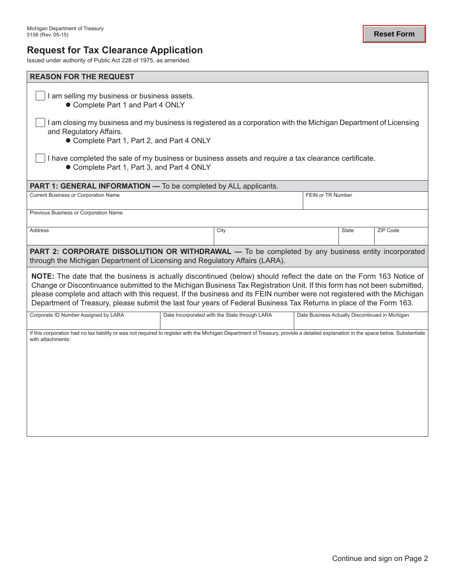# **Request for Tax Clearance Application**

Issued under authority of Public Act 228 of 1975, as amended.

| <b>REASON FOR THE REQUEST</b>                                                                                                                                                                                                                                                                                                                                                                                                                                                                    |  |                                               |                                                 |              |          |  |  |
|--------------------------------------------------------------------------------------------------------------------------------------------------------------------------------------------------------------------------------------------------------------------------------------------------------------------------------------------------------------------------------------------------------------------------------------------------------------------------------------------------|--|-----------------------------------------------|-------------------------------------------------|--------------|----------|--|--|
| I am selling my business or business assets.<br>• Complete Part 1 and Part 4 ONLY                                                                                                                                                                                                                                                                                                                                                                                                                |  |                                               |                                                 |              |          |  |  |
| I am closing my business and my business is registered as a corporation with the Michigan Department of Licensing<br>and Regulatory Affairs.<br>• Complete Part 1, Part 2, and Part 4 ONLY                                                                                                                                                                                                                                                                                                       |  |                                               |                                                 |              |          |  |  |
| I have completed the sale of my business or business assets and require a tax clearance certificate.<br>• Complete Part 1, Part 3, and Part 4 ONLY                                                                                                                                                                                                                                                                                                                                               |  |                                               |                                                 |              |          |  |  |
| <b>PART 1: GENERAL INFORMATION — To be completed by ALL applicants.</b>                                                                                                                                                                                                                                                                                                                                                                                                                          |  |                                               |                                                 |              |          |  |  |
| <b>Current Business or Corporation Name</b>                                                                                                                                                                                                                                                                                                                                                                                                                                                      |  | FEIN or TR Number                             |                                                 |              |          |  |  |
| Previous Business or Corporation Name                                                                                                                                                                                                                                                                                                                                                                                                                                                            |  |                                               |                                                 |              |          |  |  |
| Address                                                                                                                                                                                                                                                                                                                                                                                                                                                                                          |  | City                                          |                                                 | <b>State</b> | ZIP Code |  |  |
| PART 2: CORPORATE DISSOLUTION OR WITHDRAWAL - To be completed by any business entity incorporated<br>through the Michigan Department of Licensing and Regulatory Affairs (LARA).                                                                                                                                                                                                                                                                                                                 |  |                                               |                                                 |              |          |  |  |
| NOTE: The date that the business is actually discontinued (below) should reflect the date on the Form 163 Notice of<br>Change or Discontinuance submitted to the Michigan Business Tax Registration Unit. If this form has not been submitted,<br>please complete and attach with this request. If the business and its FEIN number were not registered with the Michigan<br>Department of Treasury, please submit the last four years of Federal Business Tax Returns in place of the Form 163. |  |                                               |                                                 |              |          |  |  |
| Corporate ID Number Assigned by LARA                                                                                                                                                                                                                                                                                                                                                                                                                                                             |  | Date Incorporated with the State through LARA | Date Business Actually Discontinued in Michigan |              |          |  |  |
| If this corporation had no tax liability or was not required to register with the Michigan Department of Treasury, provide a detailed explanation in the space below. Substantiate<br>with attachments:                                                                                                                                                                                                                                                                                          |  |                                               |                                                 |              |          |  |  |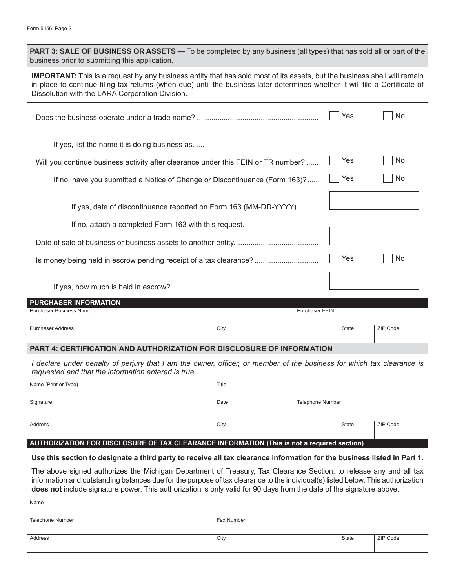| <b>PART 3: SALE OF BUSINESS OR ASSETS —</b> To be completed by any business (all types) that has sold all or part of the<br>business prior to submitting this application.                                                                                                                                                                                                    |              |                         |              |          |  |  |  |
|-------------------------------------------------------------------------------------------------------------------------------------------------------------------------------------------------------------------------------------------------------------------------------------------------------------------------------------------------------------------------------|--------------|-------------------------|--------------|----------|--|--|--|
| <b>IMPORTANT:</b> This is a request by any business entity that has sold most of its assets, but the business shell will remain<br>in place to continue filing tax returns (when due) until the business later determines whether it will file a Certificate of<br>Dissolution with the LARA Corporation Division.                                                            |              |                         |              |          |  |  |  |
|                                                                                                                                                                                                                                                                                                                                                                               |              |                         | Yes          | No       |  |  |  |
| If yes, list the name it is doing business as.                                                                                                                                                                                                                                                                                                                                |              |                         |              |          |  |  |  |
| Yes<br>No<br>Will you continue business activity after clearance under this FEIN or TR number?                                                                                                                                                                                                                                                                                |              |                         |              |          |  |  |  |
| If no, have you submitted a Notice of Change or Discontinuance (Form 163)?                                                                                                                                                                                                                                                                                                    |              |                         |              | No       |  |  |  |
| If yes, date of discontinuance reported on Form 163 (MM-DD-YYYY)                                                                                                                                                                                                                                                                                                              |              |                         |              |          |  |  |  |
| If no, attach a completed Form 163 with this request.                                                                                                                                                                                                                                                                                                                         |              |                         |              |          |  |  |  |
|                                                                                                                                                                                                                                                                                                                                                                               |              |                         |              |          |  |  |  |
| Is money being held in escrow pending receipt of a tax clearance?                                                                                                                                                                                                                                                                                                             |              |                         | Yes          | No       |  |  |  |
|                                                                                                                                                                                                                                                                                                                                                                               |              |                         |              |          |  |  |  |
| <b>PURCHASER INFORMATION</b><br><b>Purchaser Business Name</b>                                                                                                                                                                                                                                                                                                                |              |                         |              |          |  |  |  |
|                                                                                                                                                                                                                                                                                                                                                                               |              | Purchaser FEIN          |              |          |  |  |  |
| <b>Purchaser Address</b>                                                                                                                                                                                                                                                                                                                                                      | City         |                         | <b>State</b> | ZIP Code |  |  |  |
| PART 4: CERTIFICATION AND AUTHORIZATION FOR DISCLOSURE OF INFORMATION                                                                                                                                                                                                                                                                                                         |              |                         |              |          |  |  |  |
| I declare under penalty of perjury that I am the owner, officer, or member of the business for which tax clearance is<br>requested and that the information entered is true.                                                                                                                                                                                                  |              |                         |              |          |  |  |  |
| Name (Print or Type)                                                                                                                                                                                                                                                                                                                                                          | <b>Title</b> |                         |              |          |  |  |  |
| Signature                                                                                                                                                                                                                                                                                                                                                                     | Date         | <b>Telephone Number</b> |              |          |  |  |  |
| Address                                                                                                                                                                                                                                                                                                                                                                       | City         |                         | <b>State</b> | ZIP Code |  |  |  |
| AUTHORIZATION FOR DISCLOSURE OF TAX CLEARANCE INFORMATION (This is not a required section)                                                                                                                                                                                                                                                                                    |              |                         |              |          |  |  |  |
| Use this section to designate a third party to receive all tax clearance information for the business listed in Part 1.                                                                                                                                                                                                                                                       |              |                         |              |          |  |  |  |
| The above signed authorizes the Michigan Department of Treasury, Tax Clearance Section, to release any and all tax<br>information and outstanding balances due for the purpose of tax clearance to the individual(s) listed below. This authorization<br>does not include signature power. This authorization is only valid for 90 days from the date of the signature above. |              |                         |              |          |  |  |  |
| Name                                                                                                                                                                                                                                                                                                                                                                          |              |                         |              |          |  |  |  |
| <b>Telephone Number</b>                                                                                                                                                                                                                                                                                                                                                       | Fax Number   |                         |              |          |  |  |  |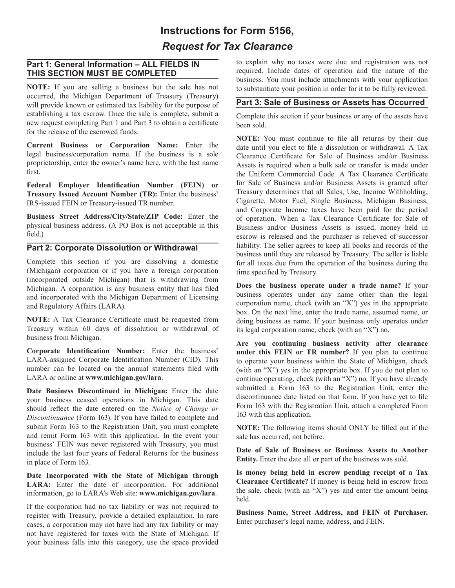# **Instructions for Form 5156,** *Request for Tax Clearance*

#### **Part 1: General Information – ALL FIELDS IN THIS SECTION MUST BE COMPLETED**

**NOTE:** If you are selling a business but the sale has not occurred, the Michigan Department of Treasury (Treasury) will provide known or estimated tax liability for the purpose of establishing a tax escrow. Once the sale is complete, submit a new request completing Part 1 and Part 3 to obtain a certificate for the release of the escrowed funds.

**Current Business or Corporation Name:** Enter the legal business/corporation name. If the business is a sole proprietorship, enter the owner's name here, with the last name first.

**Federal Employer Identification Number (FEIN) or Treasury Issued Account Number (TR):** Enter the business' IRS-issued FEIN or Treasury-issued TR number.

**Business Street Address/City/State/ZIP Code:** Enter the physical business address. (A PO Box is not acceptable in this field.)

# **Part 2: Corporate Dissolution or Withdrawal**

Complete this section if you are dissolving a domestic (Michigan) corporation or if you have a foreign corporation (incorporated outside Michigan) that is withdrawing from Michigan. A corporation is any business entity that has filed and incorporated with the Michigan Department of Licensing and Regulatory Affairs (LARA).

**NOTE:** A Tax Clearance Certificate must be requested from Treasury within 60 days of dissolution or withdrawal of business from Michigan.

**Corporate Identification Number:** Enter the business' LARA-assigned Corporate Identification Number (CID). This number can be located on the annual statements filed with LARA or online at **www.michigan.gov/lara**.

**Date Business Discontinued in Michigan:** Enter the date your business ceased operations in Michigan. This date should reflect the date entered on the *Notice of Change or Discontinuance* (Form 163). If you have failed to complete and submit Form 163 to the Registration Unit, you must complete and remit Form 163 with this application. In the event your business' FEIN was never registered with Treasury, you must include the last four years of Federal Returns for the business in place of Form 163.

**Date Incorporated with the State of Michigan through LARA:** Enter the date of incorporation. For additional information, go to LARA's Web site: **www.michigan.gov/lara**.

If the corporation had no tax liability or was not required to register with Treasury, provide a detailed explanation. In rare cases, a corporation may not have had any tax liability or may not have registered for taxes with the State of Michigan. If your business falls into this category, use the space provided

to explain why no taxes were due and registration was not required. Include dates of operation and the nature of the business. You must include attachments with your application to substantiate your position in order for it to be fully reviewed.

### **Part 3: Sale of Business or Assets has Occurred**

Complete this section if your business or any of the assets have been sold.

**NOTE:** You must continue to file all returns by their due date until you elect to file a dissolution or withdrawal. A Tax Clearance Certificate for Sale of Business and/or Business Assets is required when a bulk sale or transfer is made under the Uniform Commercial Code. A Tax Clearance Certificate for Sale of Business and/or Business Assets is granted after Treasury determines that all Sales, Use, Income Withholding, Cigarette, Motor Fuel, Single Business, Michigan Business, and Corporate Income taxes have been paid for the period of operation. When a Tax Clearance Certificate for Sale of Business and/or Business Assets is issued, money held in escrow is released and the purchaser is relieved of successor liability. The seller agrees to keep all books and records of the business until they are released by Treasury. The seller is liable for all taxes due from the operation of the business during the time specified by Treasury.

**Does the business operate under a trade name?** If your business operates under any name other than the legal corporation name, check (with an "X") yes in the appropriate box. On the next line, enter the trade name, assumed name, or doing business as name. If your business only operates under its legal corporation name, check (with an "X") no.

**Are you continuing business activity after clearance under this FEIN or TR number?** If you plan to continue to operate your business within the State of Michigan, check (with an "X") yes in the appropriate box. If you do not plan to continue operating, check (with an "X") no. If you have already submitted a Form 163 to the Registration Unit, enter the discontinuance date listed on that form. If you have yet to file Form 163 with the Registration Unit, attach a completed Form 163 with this application.

**NOTE:** The following items should ONLY be filled out if the sale has occurred, not before.

**Date of Sale of Business or Business Assets to Another Entity.** Enter the date all or part of the business was sold.

**Is money being held in escrow pending receipt of a Tax Clearance Certificate?** If money is being held in escrow from the sale, check (with an "X") yes and enter the amount being held.

**Business Name, Street Address, and FEIN of Purchaser.** Enter purchaser's legal name, address, and FEIN.